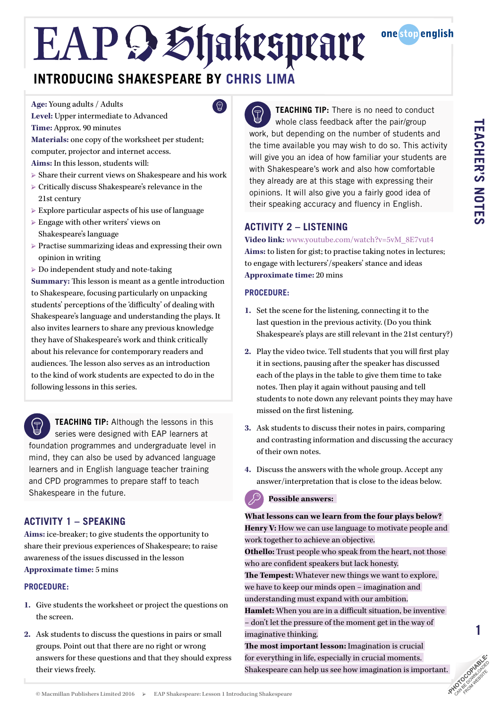$\mathbb{Q}$ 

### **INTRODUCING SHAKESPEARE BY CHRIS LIMA**

**Age:** Young adults / Adults

**Level:** Upper intermediate to Advanced **Time:** Approx. 90 minutes

**Materials:** one copy of the worksheet per student; computer, projector and internet access.

- **Aims:** In this lesson, students will:
- $\triangleright$  Share their current views on Shakespeare and his work
- Ȝ Critically discuss Shakespeare's relevance in the 21st century
- $\triangleright$  Explore particular aspects of his use of language
- $\triangleright$  Engage with other writers' views on Shakespeare's language
- $\triangleright$  Practise summarizing ideas and expressing their own opinion in writing
- $\triangleright$  Do independent study and note-taking

**Summary:** This lesson is meant as a gentle introduction to Shakespeare, focusing particularly on unpacking students' perceptions of the 'difficulty' of dealing with Shakespeare's language and understanding the plays. It also invites learners to share any previous knowledge they have of Shakespeare's work and think critically about his relevance for contemporary readers and audiences. The lesson also serves as an introduction to the kind of work students are expected to do in the following lessons in this series.

**TEACHING TIP:** Although the lessons in this series were designed with EAP learners at foundation programmes and undergraduate level in mind, they can also be used by advanced language learners and in English language teacher training and CPD programmes to prepare staff to teach Shakespeare in the future.

### **ACTIVITY 1 – SPEAKING**

**Aims:** ice-breaker; to give students the opportunity to share their previous experiences of Shakespeare; to raise awareness of the issues discussed in the lesson **Approximate time:** 5 mins

### **PROCEDURE:**

- **1.** Give students the worksheet or project the questions on the screen.
- **2.** Ask students to discuss the questions in pairs or small groups. Point out that there are no right or wrong answers for these questions and that they should express their views freely.

 $\bigcirc$ **TEACHING TIP:** There is no need to conduct whole class feedback after the pair/group work, but depending on the number of students and the time available you may wish to do so. This activity will give you an idea of how familiar your students are with Shakespeare's work and also how comfortable they already are at this stage with expressing their opinions. It will also give you a fairly good idea of their speaking accuracy and fluency in English.

### **ACTIVITY 2 – LISTENING**

### **Video link:** [www.youtube.com/watch?v=5vM\\_8E7vut4](https://www.youtube.com/watch?v=5vM_8E7vut4)

**Aims:** to listen for gist; to practise taking notes in lectures; to engage with lecturers'/speakers' stance and ideas **Approximate time:** 20 mins

### **PROCEDURE:**

- **1.** Set the scene for the listening, connecting it to the last question in the previous activity. (Do you think Shakespeare's plays are still relevant in the 21st century?)
- **2.** Play the video twice. Tell students that you will first play it in sections, pausing after the speaker has discussed each of the plays in the table to give them time to take notes. Then play it again without pausing and tell students to note down any relevant points they may have missed on the first listening.
- **3.** Ask students to discuss their notes in pairs, comparing and contrasting information and discussing the accuracy of their own notes.
- **4.** Discuss the answers with the whole group. Accept any answer/interpretation that is close to the ideas below.

**Possible answers:** 

**What lessons can we learn from the four plays below? Henry V:** How we can use language to motivate people and work together to achieve an objective. **Othello:** Trust people who speak from the heart, not those

who are confident speakers but lack honesty.

**The Tempest:** Whatever new things we want to explore, we have to keep our minds open – imagination and understanding must expand with our ambition. **Hamlet:** When you are in a difficult situation, be inventive – don't let the pressure of the moment get in the way of

imaginative thinking.

**The most important lesson:** Imagination is crucial for everything in life, especially in crucial moments.  $\mathcal{S}$ Shakespeare can help us see how imagination is important.



**onestopenalish**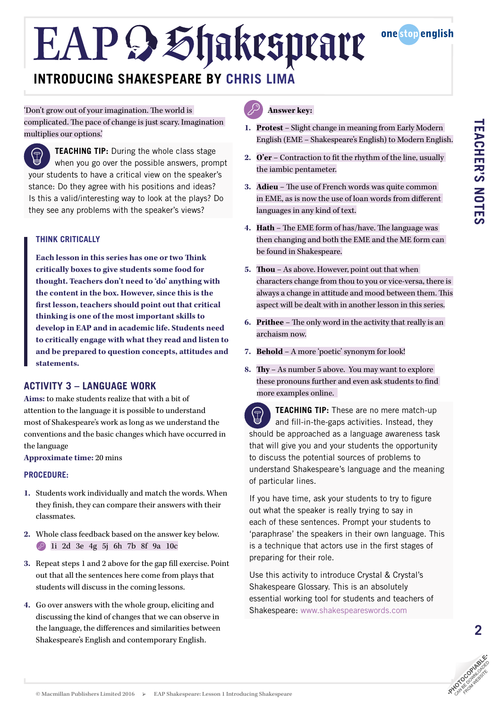

### **INTRODUCING SHAKESPEARE BY CHRIS LIMA**

'Don't grow out of your imagination. The world is complicated. The pace of change is just scary. Imagination multiplies our options.'

**TEACHING TIP:** During the whole class stage when you go over the possible answers, prompt your students to have a critical view on the speaker's stance: Do they agree with his positions and ideas? Is this a valid/interesting way to look at the plays? Do they see any problems with the speaker's views?

### **THINK CRITICALLY**

**Each lesson in this series has one or two Think critically boxes to give students some food for thought. Teachers don't need to 'do' anything with the content in the box. However, since this is the first lesson, teachers should point out that critical thinking is one of the most important skills to develop in EAP and in academic life. Students need to critically engage with what they read and listen to and be prepared to question concepts, attitudes and statements.**

### **ACTIVITY 3 – LANGUAGE WORK**

**Aims:** to make students realize that with a bit of attention to the language it is possible to understand most of Shakespeare's work as long as we understand the conventions and the basic changes which have occurred in the language

**Approximate time:** 20 mins

### **PROCEDURE:**

- **1.** Students work individually and match the words. When they finish, they can compare their answers with their classmates.
- **2.** Whole class feedback based on the answer key below. 1i 2d 3e 4g 5j 6h 7b 8f 9a 10c
- **3.** Repeat steps 1 and 2 above for the gap fill exercise. Point out that all the sentences here come from plays that students will discuss in the coming lessons.
- **4.** Go over answers with the whole group, eliciting and discussing the kind of changes that we can observe in the language, the differences and similarities between Shakespeare's English and contemporary English.

### **Answer key:**

- **1. Protest** Slight change in meaning from Early Modern English (EME – Shakespeare's English) to Modern English.
- **2. O'er** Contraction to fit the rhythm of the line, usually the iambic pentameter.
- **3. Adieu** The use of French words was quite common in EME, as is now the use of loan words from different languages in any kind of text.
- **4. Hath** The EME form of has/have. The language was then changing and both the EME and the ME form can be found in Shakespeare.
- **5. Thou** As above. However, point out that when characters change from thou to you or vice-versa, there is always a change in attitude and mood between them. This aspect will be dealt with in another lesson in this series.
- **6. Prithee** The only word in the activity that really is an archaism now.
- **7. Behold** A more 'poetic' synonym for look!
- **8. Thy** As number 5 above. You may want to explore these pronouns further and even ask students to find more examples online.

**TEACHING TIP:** These are no mere match-up  $\bigoplus$ and fill-in-the-gaps activities. Instead, they should be approached as a language awareness task that will give you and your students the opportunity to discuss the potential sources of problems to understand Shakespeare's language and the meaning of particular lines.

If you have time, ask your students to try to figure out what the speaker is really trying to say in each of these sentences. Prompt your students to 'paraphrase' the speakers in their own language. This is a technique that actors use in the first stages of preparing for their role.

Use this activity to introduce Crystal & Crystal's Shakespeare Glossary. This is an absolutely essential working tool for students and teachers of Shakespeare: [www.shakespeareswords.com](http://www.shakespeareswords.com/)



**2**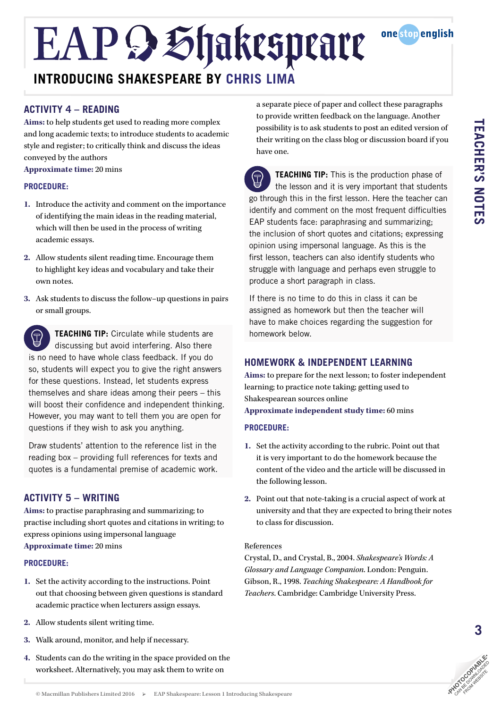### EAP & Shakespeare **INTRODUCING SHAKESPEARE BY CHRIS LIMA**

### **ACTIVITY 4 – READING**

**Aims:** to help students get used to reading more complex and long academic texts; to introduce students to academic style and register; to critically think and discuss the ideas conveyed by the authors

**Approximate time:** 20 mins

### **PROCEDURE:**

- **1.** Introduce the activity and comment on the importance of identifying the main ideas in the reading material, which will then be used in the process of writing academic essays.
- **2.** Allow students silent reading time. Encourage them to highlight key ideas and vocabulary and take their own notes.
- **3.** Ask students to discuss the follow–up questions in pairs or small groups.

**TEACHING TIP:** Circulate while students are  $\bigoplus$ discussing but avoid interfering. Also there is no need to have whole class feedback. If you do so, students will expect you to give the right answers for these questions. Instead, let students express themselves and share ideas among their peers – this will boost their confidence and independent thinking. However, you may want to tell them you are open for questions if they wish to ask you anything.

Draw students' attention to the reference list in the reading box – providing full references for texts and quotes is a fundamental premise of academic work.

### **ACTIVITY 5 – WRITING**

**Aims:** to practise paraphrasing and summarizing; to practise including short quotes and citations in writing; to express opinions using impersonal language **Approximate time:** 20 mins

### **PROCEDURE:**

- **1.** Set the activity according to the instructions. Point out that choosing between given questions is standard academic practice when lecturers assign essays.
- **2.** Allow students silent writing time.
- **3.** Walk around, monitor, and help if necessary.
- **4.** Students can do the writing in the space provided on the worksheet. Alternatively, you may ask them to write on

a separate piece of paper and collect these paragraphs to provide written feedback on the language. Another possibility is to ask students to post an edited version of their writing on the class blog or discussion board if you have one.

one stop english

**TEACHING TIP:** This is the production phase of  $\bigoplus$ the lesson and it is very important that students go through this in the first lesson. Here the teacher can identify and comment on the most frequent difficulties EAP students face: paraphrasing and summarizing; the inclusion of short quotes and citations; expressing opinion using impersonal language. As this is the first lesson, teachers can also identify students who struggle with language and perhaps even struggle to produce a short paragraph in class.

If there is no time to do this in class it can be assigned as homework but then the teacher will have to make choices regarding the suggestion for homework below.

### **HOMEWORK & INDEPENDENT LEARNING**

**Aims:** to prepare for the next lesson; to foster independent learning; to practice note taking; getting used to Shakespearean sources online **Approximate independent study time:** 60 mins

### **PROCEDURE:**

- **1.** Set the activity according to the rubric. Point out that it is very important to do the homework because the content of the video and the article will be discussed in the following lesson.
- **2.** Point out that note-taking is a crucial aspect of work at university and that they are expected to bring their notes to class for discussion.

#### References

Crystal, D., and Crystal, B., 2004. *Shakespeare's Words: A Glossary and Language Companion*. London: Penguin. Gibson, R., 1998. *Teaching Shakespeare: A Handbook for Teachers*. Cambridge: Cambridge University Press.

**3**

**TEACHER'S NOTES**

**TEACHER'S NOTES**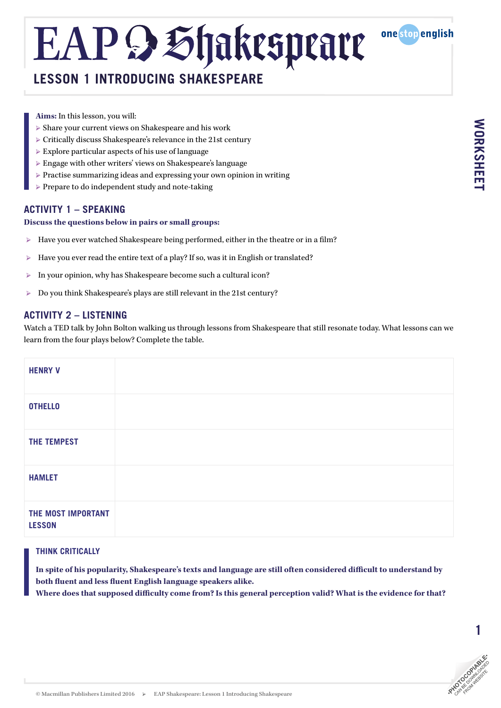### **LESSON 1 INTRODUCING SHAKESPEARE**

one stop english

- **Aims:** In this lesson, you will:
- $\triangleright$  Share your current views on Shakespeare and his work
- Ȝ Critically discuss Shakespeare's relevance in the 21st century
- $\triangleright$  Explore particular aspects of his use of language
- $\triangleright$  Engage with other writers' views on Shakespeare's language
- Ȝ Practise summarizing ideas and expressing your own opinion in writing
- Ȝ Prepare to do independent study and note-taking

### **ACTIVITY 1 – SPEAKING**

#### **Discuss the questions below in pairs or small groups:**

- Have you ever watched Shakespeare being performed, either in the theatre or in a film?
- ▶ Have you ever read the entire text of a play? If so, was it in English or translated?
- Ȝ In your opinion, why has Shakespeare become such a cultural icon?
- ▶ Do you think Shakespeare's plays are still relevant in the 21st century?

### **ACTIVITY 2 – LISTENING**

Watch a TED talk by John Bolton walking us through lessons from Shakespeare that still resonate today. What lessons can we learn from the four plays below? Complete the table.

| <b>HENRY V</b>                      |  |
|-------------------------------------|--|
| <b>OTHELLO</b>                      |  |
| <b>THE TEMPEST</b>                  |  |
| <b>HAMLET</b>                       |  |
| THE MOST IMPORTANT<br><b>LESSON</b> |  |

### **THINK CRITICALLY**

**In spite of his popularity, Shakespeare's texts and language are still often considered difficult to understand by both fluent and less fluent English language speakers alike.**

**Where does that supposed difficulty come from? Is this general perception valid? What is the evidence for that?**



1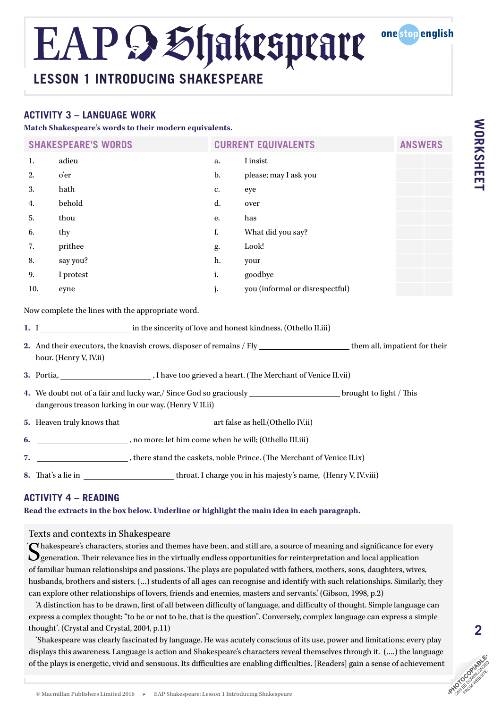### **LESSON 1 INTRODUCING SHAKESPEARE**

### **ACTIVITY 3 – LANGUAGE WORK**

**Match Shakespeare's words to their modern equivalents.**

| <b>SHAKESPEARE'S WORDS</b>                                                                                                                                                 |           | <b>CURRENT EQUIVALENTS</b> |                                 | <b>ANSWERS</b> |  |  |
|----------------------------------------------------------------------------------------------------------------------------------------------------------------------------|-----------|----------------------------|---------------------------------|----------------|--|--|
| 1.                                                                                                                                                                         | adieu     | a.                         | I insist                        |                |  |  |
| 2.                                                                                                                                                                         | o'er      | $b$ .                      | please; may I ask you           |                |  |  |
| 3.                                                                                                                                                                         | hath      | c.                         | eye                             |                |  |  |
| 4.                                                                                                                                                                         | behold    | d.                         | over                            |                |  |  |
| 5.                                                                                                                                                                         | thou      | е.                         | has                             |                |  |  |
| 6.                                                                                                                                                                         | thy       | $\mathbf f_\centerdot$     | What did you say?               |                |  |  |
| 7.                                                                                                                                                                         | prithee   | g.                         | Look!                           |                |  |  |
| 8.                                                                                                                                                                         | say you?  | h.                         | your                            |                |  |  |
| 9.                                                                                                                                                                         | I protest | i.                         | goodbye                         |                |  |  |
| 10.                                                                                                                                                                        | eyne      | j.                         | you (informal or disrespectful) |                |  |  |
| Now complete the lines with the appropriate word.                                                                                                                          |           |                            |                                 |                |  |  |
|                                                                                                                                                                            |           |                            |                                 |                |  |  |
| 2. And their executors, the knavish crows, disposer of remains / Fly _________________________them all, impatient for their<br>hour. (Henry V, IV.ii)                      |           |                            |                                 |                |  |  |
|                                                                                                                                                                            |           |                            |                                 |                |  |  |
| 4. We doubt not of a fair and lucky war,/ Since God so graciously ________________________brought to light / This<br>dangerous treason lurking in our way. (Henry V II.ii) |           |                            |                                 |                |  |  |

**5.** Heaven truly knows that art false as hell.(Othello IV.ii)

**6.** , no more: let him come when he will; (Othello III.iii)

**7.** , there stand the caskets, noble Prince. (The Merchant of Venice II.ix)

**8.** That's a lie in throat. I charge you in his majesty's name, (Henry V, IV.viii)

### **ACTIVITY 4 – READING**

**Read the extracts in the box below. Underline or highlight the main idea in each paragraph.**

### Texts and contexts in Shakespeare

Chakespeare's characters, stories and themes have been, and still are, a source of meaning and significance for every  $\mathbf{Q}$  generation. Their relevance lies in the virtually endless opportunities for reinterpretation and local application of familiar human relationships and passions. The plays are populated with fathers, mothers, sons, daughters, wives, husbands, brothers and sisters. (...) students of all ages can recognise and identify with such relationships. Similarly, they can explore other relationships of lovers, friends and enemies, masters and servants.' (Gibson, 1998, p.2) '

'A distinction has to be drawn, first of all between difficulty of language, and difficulty of thought. Simple language can express a complex thought: "to be or not to be, that is the question". Conversely, complex language can express a simple thought'. (Crystal and Crystal, 2004, p.11)

'Shakespeare was clearly fascinated by language. He was acutely conscious of its use, power and limitations; every play displays this awareness. Language is action and Shakespeare's characters reveal themselves through it. (….) the language of the plays is energetic, vivid and sensuous. Its difficulties are enabling difficulties. [Readers] gain a sense of achievement<br>
© Macmillan Publishers Limited 2016 > EAP Shakespeare: Lesson 1 Introducing Station (Station

one stop english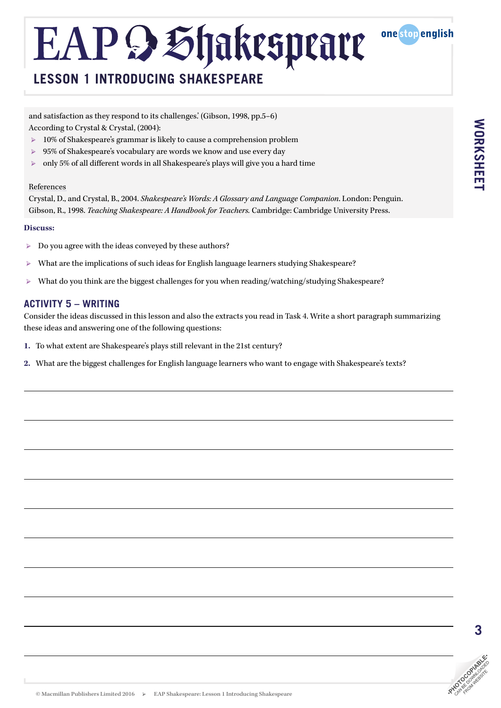

and satisfaction as they respond to its challenges.' (Gibson, 1998, pp.5–6) According to Crystal & Crystal, (2004):

- $\triangleright$  10% of Shakespeare's grammar is likely to cause a comprehension problem
- ▶ 95% of Shakespeare's vocabulary are words we know and use every day
- $\triangleright$  only 5% of all different words in all Shakespeare's plays will give you a hard time

#### References

Crystal, D., and Crystal, B., 2004. *Shakespeare's Words: A Glossary and Language Companion*. London: Penguin. Gibson, R., 1998. *Teaching Shakespeare: A Handbook for Teachers.* Cambridge: Cambridge University Press.

#### **Discuss:**

- $\triangleright$  Do you agree with the ideas conveyed by these authors?
- $\triangleright$  What are the implications of such ideas for English language learners studying Shakespeare?
- $\triangleright$  What do you think are the biggest challenges for you when reading/watching/studying Shakespeare?

### **ACTIVITY 5 – WRITING**

Consider the ideas discussed in this lesson and also the extracts you read in Task 4. Write a short paragraph summarizing these ideas and answering one of the following questions:

- **1.** To what extent are Shakespeare's plays still relevant in the 21st century?
- **2.** What are the biggest challenges for English language learners who want to engage with Shakespeare's texts?

one stop english